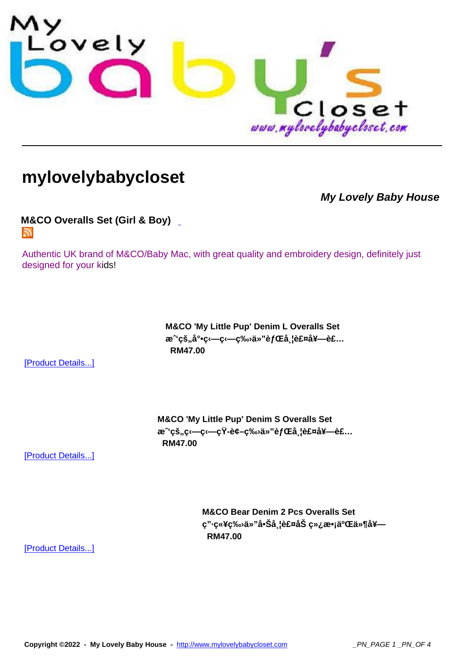

## **[mylovelybabycloset](http://www.mylovelybabycloset.com)**

**My Lovely Baby House**

**M&CO Overalls Set (Girl & Boy)**  5.

[Authentic UK brand of M&CO/Baby Ma](index.php?option=com_virtuemart&page=shop.feed&category_id=28)c, with great quality and embroidery design, definitely just designed for your kids!

> **M&CO 'My Little Pup' Denim L Overalls Set** æ<sup>∼</sup>'çš"å°•ç‹—ç‹—ç‰<sub>'</sub>ä»"èfŒå¸l裤套è£...  **RM47.00**

[Product Details...]

**M&CO 'My Little Pup' Denim S Overalls Set** æ<sup>∼</sup>çš"ç—ç—çŸ-è¢-ç‰ä»"èfŒå l裤å¥-è£...  **RM47.00** 

[Product Details...]

**M&CO Bear Denim 2 Pcs Overalls Set ç"·ç«¥ç‰›ä»"å•Šå¸¦è£¤åŠ ç»¿æ•¡äºŒä»¶å¥— RM47.00** 

[Product Details...]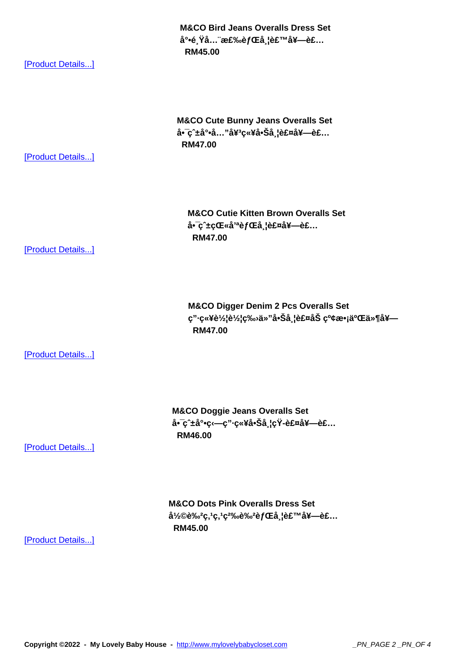a<sup>-</sup>•e<sub>s</sub>ra... 棉e*j* uta<sub>s</sub>ie£ ''"a<del>≄—</del>e£...  **RM45.00** 

[Product Details...]

**M&CO Cute Bunny Jeans Overalls Set** å•̄ç^±å°•å..."å¥<sup>3</sup>童啊带裤套è£...  **RM47.00** 

[Product Details...]

**M&CO Cutie Kitten Brown Overalls Set** a<sup>•</sup>ç^±çŒ«å<sup>'a</sup>èfŒå l裤å¥-è£...  **RM47.00** 

[Product Details...]

**M&CO Digger Denim 2 Pcs Overalls Set ç"·ç«¥è½¦è½¦ç‰›ä»"å•Šå¸¦è£¤åŠ çº¢æ•¡äºŒä»¶å¥— RM47.00** 

[Product Details...]

**M&CO Doggie Jeans Overalls Set** å•<sup>−</sup>ç^±å°•ç‹—ç"·ç«¥å•Šå¸¦çŸ-裤套è£...  **RM46.00** 

[Product Details...]

**M&CO Dots Pink Overalls Dress Set** å1⁄2©è‰<sup>2</sup>ç,1ç,1ç<sup>2</sup>‰è‰<sup>2</sup>èfŒå<sub>s</sub>l裙套è£...  **RM45.00** 

[Product Details...]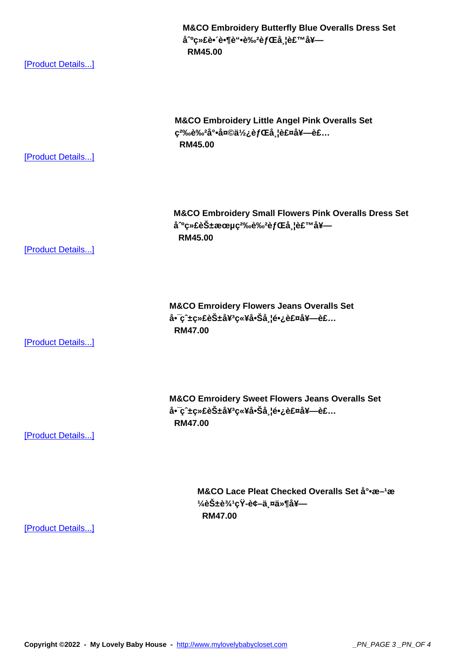a °ç»±e• e•¶e<sup>⊷</sup>e‰∕e*j* ∪±a<sub>∍</sub>ie± ''"a≠- **RM45.00** 

[Product Details...]

**M&CO Embroidery Little Angel Pink Overalls Set**  $\varsigma^{2}\%$ <sup>o</sup>ê‰<sup>2</sup>尕天使èfŒå¸l裤套è£...  **RM45.00** 

[Product Details...]

**M&CO Embroidery Small Flowers Pink Overalls Dress Set** å<sup>o</sup>绣花朵ç<sup>2‰</sup>è‰<sup>2</sup>èfŒå ¦è£™å¥—  **RM45.00** 

[Product Details...]

**M&CO Emroidery Flowers Jeans Overalls Set** å•~ç^±ç»£èбå¥<sup>3</sup>童啊带长裤套è£...  **RM47.00** 

[Product Details...]

**M&CO Emroidery Sweet Flowers Jeans Overalls Set** å•~ç^±ç»£èбå¥<sup>3</sup>童啊带长裤套è£...  **RM47.00** 

## [Product Details...]

M&CO Lace Pleat Checked Overalls Set å°•æ-1æ  $\frac{1}{4}$ 花è¾<sup>1</sup>çŸ-è¢-两ä»¶å¥- **RM47.00** 

[Product Details...]